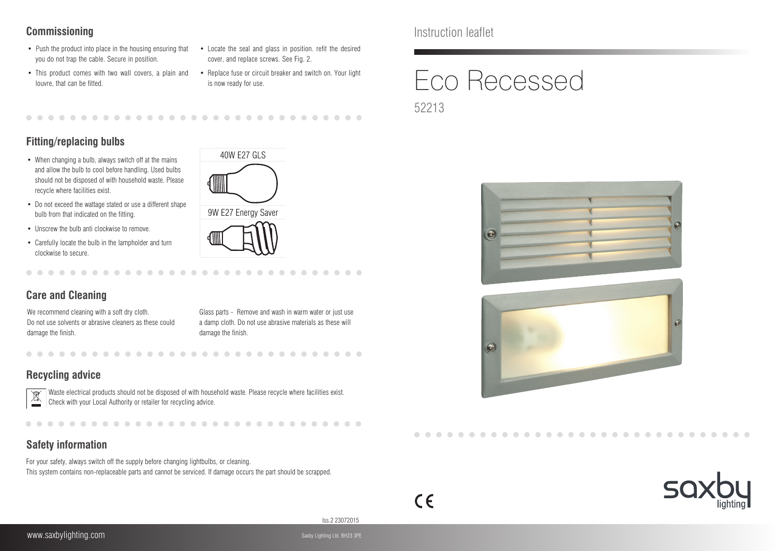- Push the product into place in the housing ensuring that you do not trap the cable. Secure in position.
- This product comes with two wall covers, a plain and louvre, that can be fitted.
- Locate the seal and glass in position. refit the desired cover, and replace screws. See Fig. 2.
- Replace fuse or circuit breaker and switch on. Your light is now ready for use.

### 

## **Fitting/replacing bulbs**

- When changing a bulb, always switch off at the mains and allow the bulb to cool before handling. Used bulbs should not be disposed of with household waste. Please recycle where facilities exist.
- Do not exceed the wattage stated or use a different shape bulb from that indicated on the fitting.
- Unscrew the bulb anti clockwise to remove.
- Carefully locate the bulb in the lampholder and turn clockwise to secure.

. . . . . . . . . . . . . . .



## **Care and Cleaning**

We recommend cleaning with a soft dry cloth. Do not use solvents or abrasive cleaners as these could damage the finish.

Glass parts - Remove and wash in warm water or just use a damp cloth. Do not use abrasive materials as these will damage the finish.

. . . . . . . . . . . . . . . . .

 $\sim$ 

## **Recycling advice**



Waste electrical products should not be disposed of with household waste. Please recycle where facilities exist. Check with your Local Authority or retailer for recycling advice.

-------

-----

## **Safety information**

For your safety, always switch off the supply before changing lightbulbs, or cleaning. This system contains non-replaceable parts and cannot be serviced. If damage occurs the part should be scrapped.

**Commissioning** Instruction leaflet

# Eco Recessed 52213







Iss.2 23072015

 $\epsilon$ 

--------

. . . . . . .